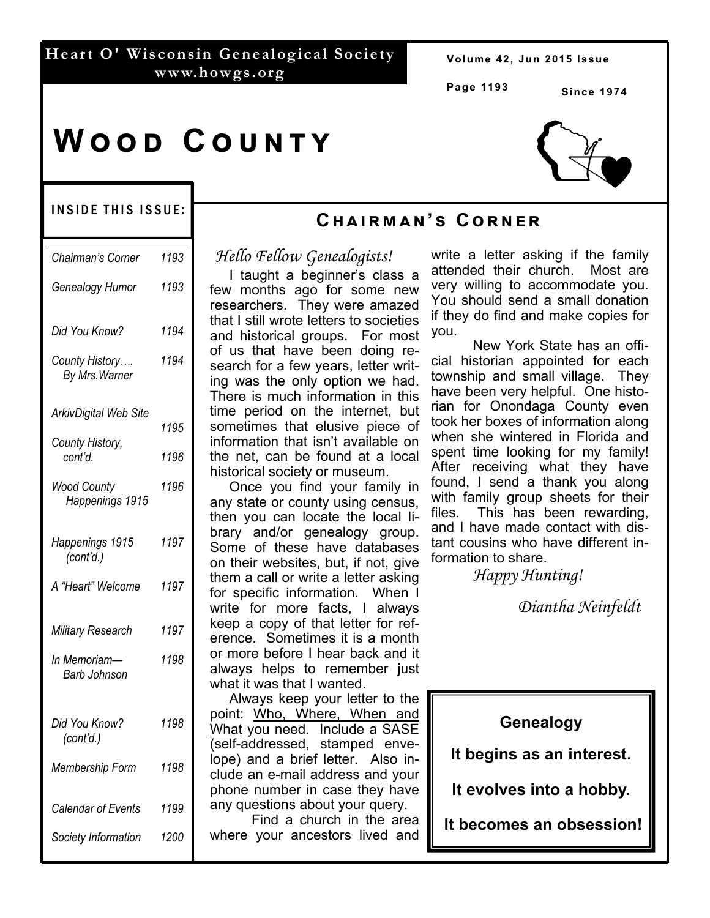# **Heart O' Wisconsin Genealogical Society www.howgs.org**

Volume 42, Jun 2015 Issue

**Page 1193**

**Since 1974** 

# **WOOD COUNTY**

### INSIDE THIS ISSUE:

| Chairman's Corner                | 1193 |
|----------------------------------|------|
| Genealogy Humor                  | 1193 |
| Did You Know?                    | 1194 |
| County History<br>By Mrs. Warner | 1194 |
| <b>ArkivDigital Web Site</b>     |      |
| County History,                  | 1195 |
| cont'd.                          | 1196 |
| Wood County<br>Happenings 1915   | 1196 |
| Happenings 1915<br>(cont'd.)     | 1197 |
| A "Heart" Welcome                | 1197 |
| <b>Military Research</b>         | 1197 |
| In Memoriam-<br>Barb Johnson     | 1198 |
| Did You Know?<br>(cont'd.)       | 1198 |
| Membership Form                  | 1198 |
| Calendar of Events               | 1199 |
| Society Information              | 1200 |

# **Cඐඉඑකඕඉඖ'ඛ Cකඖඍක**

# *Hello Fellow Genealogists!*

 I taught a beginner's class a few months ago for some new researchers. They were amazed that I still wrote letters to societies and historical groups. For most of us that have been doing research for a few years, letter writing was the only option we had. There is much information in this time period on the internet, but sometimes that elusive piece of information that isn't available on the net, can be found at a local historical society or museum.

 Once you find your family in any state or county using census, then you can locate the local library and/or genealogy group. Some of these have databases on their websites, but, if not, give them a call or write a letter asking for specific information. When I write for more facts, I always keep a copy of that letter for reference. Sometimes it is a month or more before I hear back and it always helps to remember just what it was that I wanted.

 Always keep your letter to the point: Who, Where, When and What you need. Include a SASE (self-addressed, stamped envelope) and a brief letter. Also include an e-mail address and your phone number in case they have any questions about your query.

 Find a church in the area where your ancestors lived and

write a letter asking if the family attended their church. Most are very willing to accommodate you. You should send a small donation if they do find and make copies for you.

 New York State has an official historian appointed for each township and small village. They have been very helpful. One historian for Onondaga County even took her boxes of information along when she wintered in Florida and spent time looking for my family! After receiving what they have found, I send a thank you along with family group sheets for their files. This has been rewarding, and I have made contact with distant cousins who have different information to share.

 *Happy Hunting!* 

 *Diantha Neinfeldt*

# **Genealogy**

**It begins as an interest.** 

**It evolves into a hobby.** 

 **It becomes an obsession!**

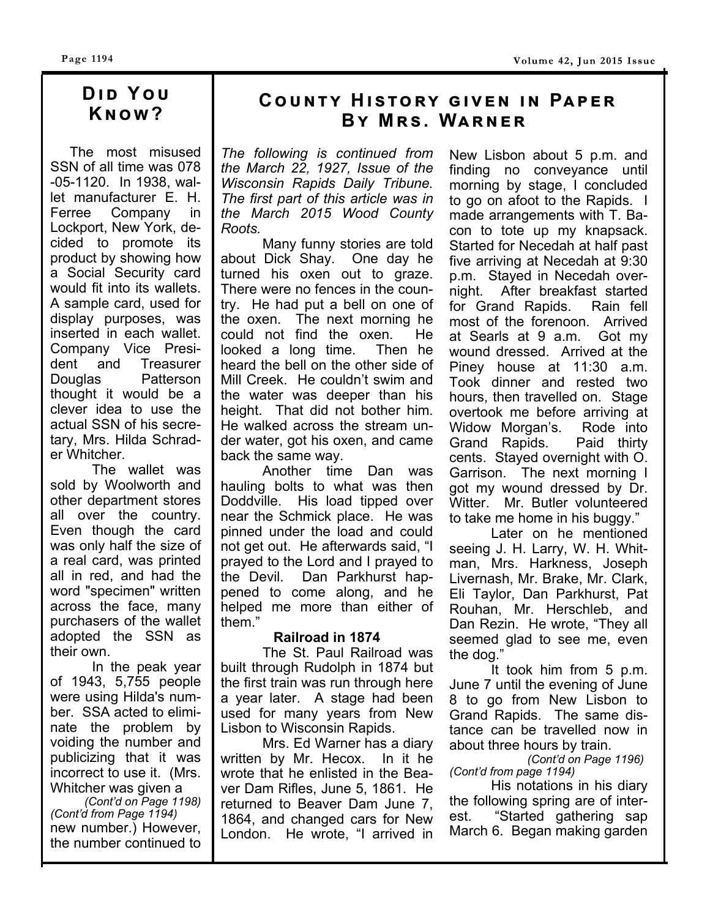# **DID YOU Kඖඟ?**

 The most misused SSN of all time was 078 -05-1120. In 1938, wallet manufacturer E. H. Ferree Company in Lockport, New York, decided to promote its product by showing how a Social Security card would fit into its wallets. A sample card, used for display purposes, was inserted in each wallet. Company Vice President and Treasurer Douglas Patterson thought it would be a clever idea to use the actual SSN of his secretary, Mrs. Hilda Schrader Whitcher.

 The wallet was sold by Woolworth and other department stores all over the country. Even though the card was only half the size of a real card, was printed all in red, and had the word "specimen" written across the face, many purchasers of the wallet adopted the SSN as their own.

 In the peak year of 1943, 5,755 people were using Hilda's number. SSA acted to eliminate the problem by voiding the number and publicizing that it was incorrect to use it. (Mrs. Whitcher was given a

*(Cont'd on Page 1198) (Cont'd from Page 1194)*  new number.) However, the number continued to

# $C$ **OUNTY HISTORY GIVEN IN PAPER BY MRS. WARNER**

*The following is continued from the March 22, 1927, Issue of the Wisconsin Rapids Daily Tribune. The first part of this article was in the March 2015 Wood County Roots.* 

 Many funny stories are told about Dick Shay. One day he turned his oxen out to graze. There were no fences in the country. He had put a bell on one of the oxen. The next morning he could not find the oxen. He could not find the oxen. looked a long time. Then he heard the bell on the other side of Mill Creek. He couldn't swim and the water was deeper than his height. That did not bother him. He walked across the stream under water, got his oxen, and came back the same way.

 Another time Dan was hauling bolts to what was then Doddville. His load tipped over near the Schmick place. He was pinned under the load and could not get out. He afterwards said, "I prayed to the Lord and I prayed to the Devil. Dan Parkhurst happened to come along, and he helped me more than either of them."

#### **Railroad in 1874**

 The St. Paul Railroad was built through Rudolph in 1874 but the first train was run through here a year later. A stage had been used for many years from New Lisbon to Wisconsin Rapids.

 Mrs. Ed Warner has a diary written by Mr. Hecox. In it he wrote that he enlisted in the Beaver Dam Rifles, June 5, 1861. He returned to Beaver Dam June 7, 1864, and changed cars for New London. He wrote, "I arrived in New Lisbon about 5 p.m. and finding no conveyance until morning by stage, I concluded to go on afoot to the Rapids. I made arrangements with T. Bacon to tote up my knapsack. Started for Necedah at half past five arriving at Necedah at 9:30 p.m. Stayed in Necedah overnight. After breakfast started for Grand Rapids. Rain fell most of the forenoon. Arrived at Searls at 9 a.m. Got my wound dressed. Arrived at the Piney house at 11:30 a.m. Took dinner and rested two hours, then travelled on. Stage overtook me before arriving at Widow Morgan's. Rode into Grand Rapids. Paid thirty cents. Stayed overnight with O. Garrison. The next morning I got my wound dressed by Dr. Witter. Mr. Butler volunteered to take me home in his buggy."

 Later on he mentioned seeing J. H. Larry, W. H. Whitman, Mrs. Harkness, Joseph Livernash, Mr. Brake, Mr. Clark, Eli Taylor, Dan Parkhurst, Pat Rouhan, Mr. Herschleb, and Dan Rezin. He wrote, "They all seemed glad to see me, even the dog."

 It took him from 5 p.m. June 7 until the evening of June 8 to go from New Lisbon to Grand Rapids. The same distance can be travelled now in about three hours by train.

*(Cont'd on Page 1196) (Cont'd from page 1194)* 

 His notations in his diary the following spring are of interest. "Started gathering sap March 6. Began making garden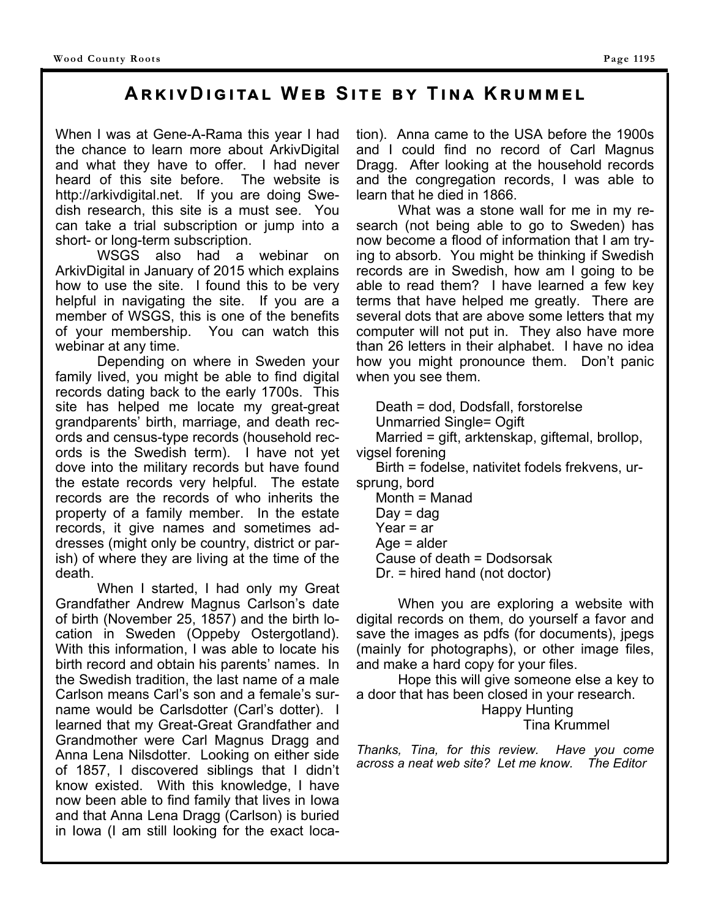When I was at Gene-A-Rama this year I had the chance to learn more about ArkivDigital and what they have to offer. I had never heard of this site before. The website is http://arkivdigital.net. If you are doing Swedish research, this site is a must see. You can take a trial subscription or jump into a short- or long-term subscription.

 WSGS also had a webinar on ArkivDigital in January of 2015 which explains how to use the site. I found this to be very helpful in navigating the site. If you are a member of WSGS, this is one of the benefits of your membership. You can watch this webinar at any time.

 Depending on where in Sweden your family lived, you might be able to find digital records dating back to the early 1700s. This site has helped me locate my great-great grandparents' birth, marriage, and death records and census-type records (household records is the Swedish term). I have not yet dove into the military records but have found the estate records very helpful. The estate records are the records of who inherits the property of a family member. In the estate records, it give names and sometimes addresses (might only be country, district or parish) of where they are living at the time of the death.

 When I started, I had only my Great Grandfather Andrew Magnus Carlson's date of birth (November 25, 1857) and the birth location in Sweden (Oppeby Ostergotland). With this information, I was able to locate his birth record and obtain his parents' names. In the Swedish tradition, the last name of a male Carlson means Carl's son and a female's surname would be Carlsdotter (Carl's dotter). I learned that my Great-Great Grandfather and Grandmother were Carl Magnus Dragg and Anna Lena Nilsdotter. Looking on either side of 1857, I discovered siblings that I didn't know existed. With this knowledge, I have now been able to find family that lives in Iowa and that Anna Lena Dragg (Carlson) is buried in Iowa (I am still looking for the exact loca-

tion). Anna came to the USA before the 1900s and I could find no record of Carl Magnus Dragg. After looking at the household records and the congregation records, I was able to learn that he died in 1866.

 What was a stone wall for me in my research (not being able to go to Sweden) has now become a flood of information that I am trying to absorb. You might be thinking if Swedish records are in Swedish, how am I going to be able to read them? I have learned a few key terms that have helped me greatly. There are several dots that are above some letters that my computer will not put in. They also have more than 26 letters in their alphabet. I have no idea how you might pronounce them. Don't panic when you see them.

Death = dod, Dodsfall, forstorelse

Unmarried Single= Ogift

 Married = gift, arktenskap, giftemal, brollop, vigsel forening

 Birth = fodelse, nativitet fodels frekvens, ursprung, bord

- Month = Manad
- $Day = dag$
- Year = ar
- $Aae = alder$
- Cause of death = Dodsorsak
- Dr. = hired hand (not doctor)

 When you are exploring a website with digital records on them, do yourself a favor and save the images as pdfs (for documents), jpegs (mainly for photographs), or other image files, and make a hard copy for your files.

 Hope this will give someone else a key to a door that has been closed in your research.

> Happy Hunting Tina Krummel

*Thanks, Tina, for this review. Have you come across a neat web site? Let me know. The Editor*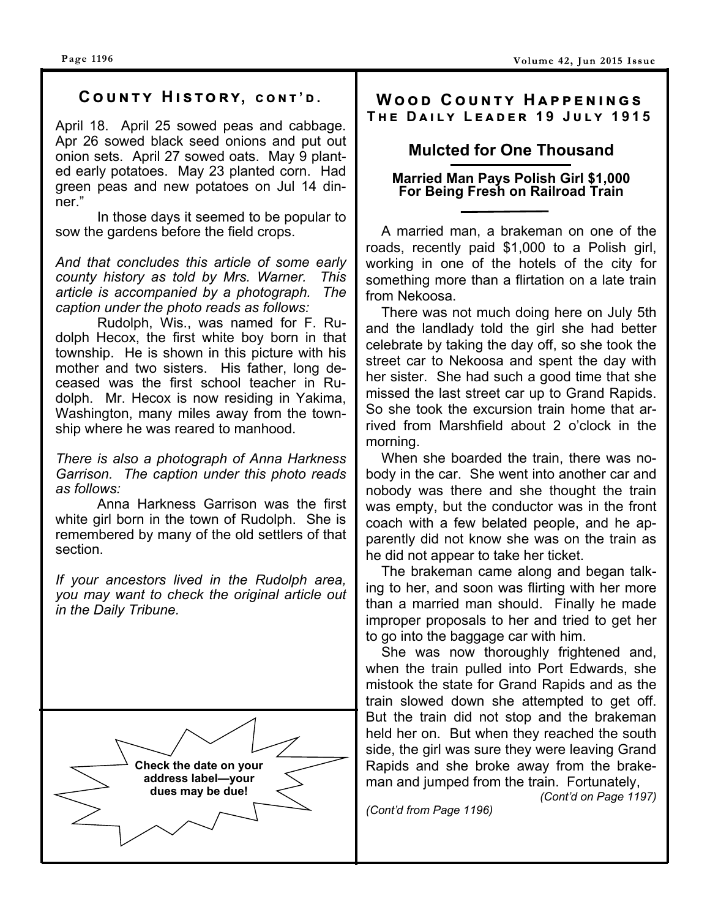# $C$  OUNTY HISTORY, CONT'D.

April 18. April 25 sowed peas and cabbage. Apr 26 sowed black seed onions and put out onion sets. April 27 sowed oats. May 9 planted early potatoes. May 23 planted corn. Had green peas and new potatoes on Jul 14 dinner."

 In those days it seemed to be popular to sow the gardens before the field crops.

*And that concludes this article of some early county history as told by Mrs. Warner. This article is accompanied by a photograph. The caption under the photo reads as follows:* 

Rudolph, Wis., was named for F. Rudolph Hecox, the first white boy born in that township. He is shown in this picture with his mother and two sisters. His father, long deceased was the first school teacher in Rudolph. Mr. Hecox is now residing in Yakima, Washington, many miles away from the township where he was reared to manhood.

*There is also a photograph of Anna Harkness Garrison. The caption under this photo reads as follows:* 

Anna Harkness Garrison was the first white girl born in the town of Rudolph. She is remembered by many of the old settlers of that section.

*If your ancestors lived in the Rudolph area, you may want to check the original article out in the Daily Tribune.* 



## **WOOD COUNTY HAPPENINGS**  $THE$  DAILY LEADER 19 JULY 1915

# **Mulcted for One Thousand**

#### **Married Man Pays Polish Girl \$1,000 For Being Fresh on Railroad Train**

A married man, a brakeman on one of the roads, recently paid \$1,000 to a Polish girl, working in one of the hotels of the city for something more than a flirtation on a late train from Nekoosa.

 There was not much doing here on July 5th and the landlady told the girl she had better celebrate by taking the day off, so she took the street car to Nekoosa and spent the day with her sister. She had such a good time that she missed the last street car up to Grand Rapids. So she took the excursion train home that arrived from Marshfield about 2 o'clock in the morning.

 When she boarded the train, there was nobody in the car. She went into another car and nobody was there and she thought the train was empty, but the conductor was in the front coach with a few belated people, and he apparently did not know she was on the train as he did not appear to take her ticket.

 The brakeman came along and began talking to her, and soon was flirting with her more than a married man should. Finally he made improper proposals to her and tried to get her to go into the baggage car with him.

 She was now thoroughly frightened and, when the train pulled into Port Edwards, she mistook the state for Grand Rapids and as the train slowed down she attempted to get off. But the train did not stop and the brakeman held her on. But when they reached the south side, the girl was sure they were leaving Grand Rapids and she broke away from the brakeman and jumped from the train. Fortunately, *(Cont'd on Page 1197)*

*(Cont'd from Page 1196)*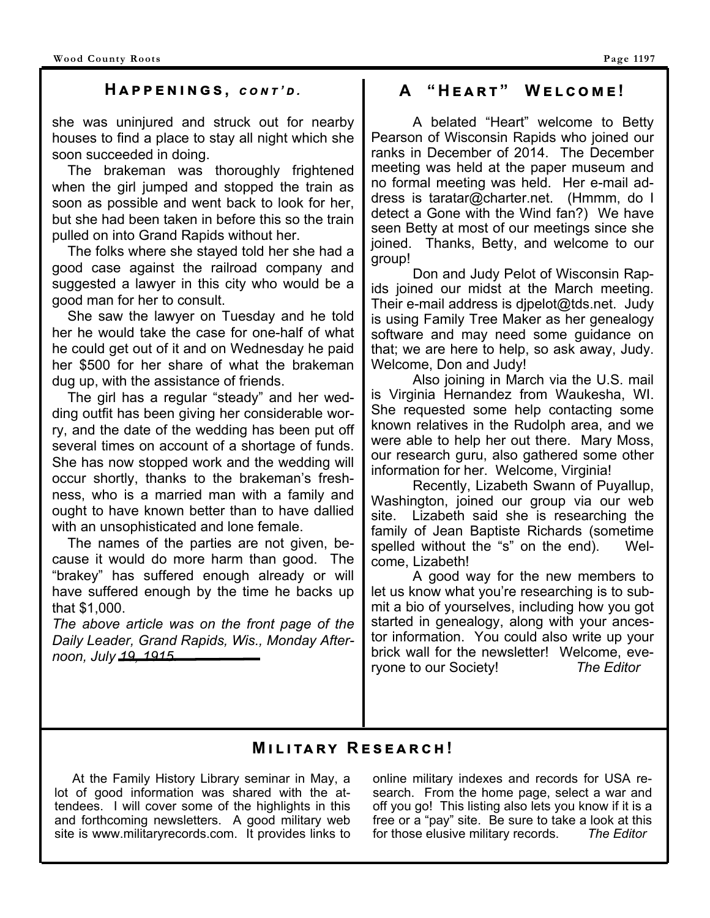### $H$  **A**  $P$  **P**  $E$  **N**  $I$  **N**  $G$  **S**, *cont'd.*

she was uninjured and struck out for nearby houses to find a place to stay all night which she soon succeeded in doing.

 The brakeman was thoroughly frightened when the girl jumped and stopped the train as soon as possible and went back to look for her, but she had been taken in before this so the train pulled on into Grand Rapids without her.

 The folks where she stayed told her she had a good case against the railroad company and suggested a lawyer in this city who would be a good man for her to consult.

 She saw the lawyer on Tuesday and he told her he would take the case for one-half of what he could get out of it and on Wednesday he paid her \$500 for her share of what the brakeman dug up, with the assistance of friends.

 The girl has a regular "steady" and her wedding outfit has been giving her considerable worry, and the date of the wedding has been put off several times on account of a shortage of funds. She has now stopped work and the wedding will occur shortly, thanks to the brakeman's freshness, who is a married man with a family and ought to have known better than to have dallied with an unsophisticated and lone female.

 The names of the parties are not given, because it would do more harm than good. The "brakey" has suffered enough already or will have suffered enough by the time he backs up that \$1,000.

*The above article was on the front page of the Daily Leader, Grand Rapids, Wis., Monday Afternoon, July 19, 1915.* 

# $A$  "HEART" WELCOME!

 A belated "Heart" welcome to Betty Pearson of Wisconsin Rapids who joined our ranks in December of 2014. The December meeting was held at the paper museum and no formal meeting was held. Her e-mail address is taratar@charter.net. (Hmmm, do I detect a Gone with the Wind fan?) We have seen Betty at most of our meetings since she joined. Thanks, Betty, and welcome to our group!

 Don and Judy Pelot of Wisconsin Rapids joined our midst at the March meeting. Their e-mail address is djpelot@tds.net. Judy is using Family Tree Maker as her genealogy software and may need some guidance on that; we are here to help, so ask away, Judy. Welcome, Don and Judy!

 Also joining in March via the U.S. mail is Virginia Hernandez from Waukesha, WI. She requested some help contacting some known relatives in the Rudolph area, and we were able to help her out there. Mary Moss, our research guru, also gathered some other information for her. Welcome, Virginia!

 Recently, Lizabeth Swann of Puyallup, Washington, joined our group via our web site. Lizabeth said she is researching the family of Jean Baptiste Richards (sometime spelled without the "s" on the end). Welcome, Lizabeth!

 A good way for the new members to let us know what you're researching is to submit a bio of yourselves, including how you got started in genealogy, along with your ancestor information. You could also write up your brick wall for the newsletter! Welcome, everyone to our Society! *The Editor* 

# **MILITARY RESEARCH!**

 At the Family History Library seminar in May, a lot of good information was shared with the attendees. I will cover some of the highlights in this and forthcoming newsletters. A good military web site is www.militaryrecords.com. It provides links to

online military indexes and records for USA research. From the home page, select a war and off you go! This listing also lets you know if it is a free or a "pay" site. Be sure to take a look at this for those elusive military records. *The Editor*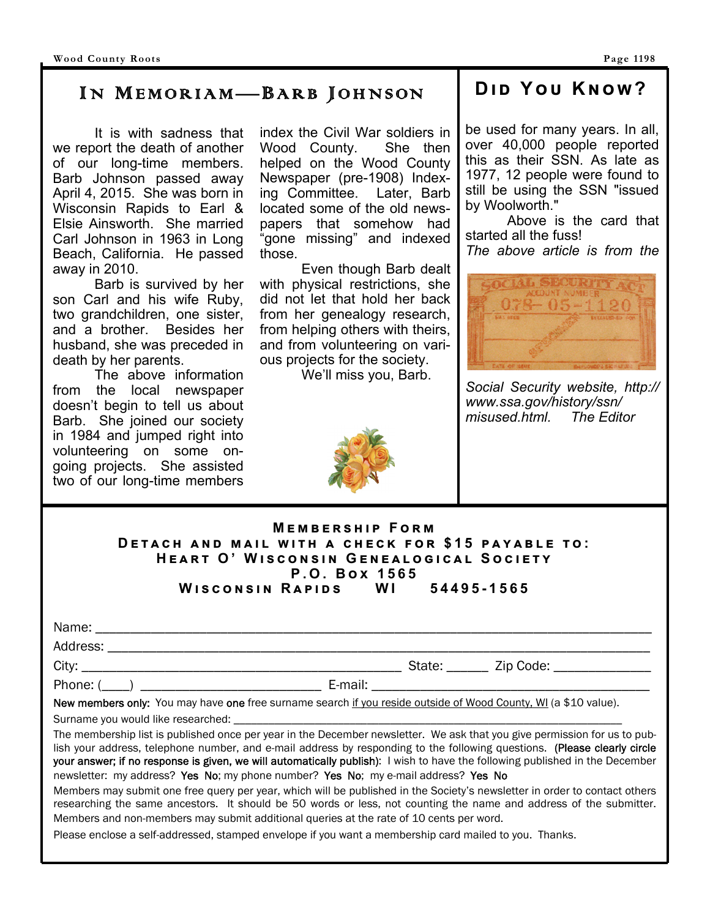# IN MEMORIAM—BARB JOHNSON

 It is with sadness that we report the death of another of our long-time members. Barb Johnson passed away April 4, 2015. She was born in Wisconsin Rapids to Earl & Elsie Ainsworth. She married Carl Johnson in 1963 in Long Beach, California. He passed away in 2010.

 Barb is survived by her son Carl and his wife Ruby, two grandchildren, one sister, and a brother. Besides her husband, she was preceded in death by her parents.

 The above information from the local newspaper doesn't begin to tell us about Barb. She joined our society in 1984 and jumped right into volunteering on some ongoing projects. She assisted two of our long-time members

index the Civil War soldiers in Wood County. She then helped on the Wood County Newspaper (pre-1908) Indexing Committee. Later, Barb located some of the old newspapers that somehow had "gone missing" and indexed those.

 Even though Barb dealt with physical restrictions, she did not let that hold her back from her genealogy research, from helping others with theirs, and from volunteering on various projects for the society.

We'll miss you, Barb.

# **Dඑ ඌ Y ඝ Kඖඟ?**

be used for many years. In all, over 40,000 people reported this as their SSN. As late as 1977, 12 people were found to still be using the SSN "issued by Woolworth."

 Above is the card that started all the fuss! *The above article is from the* 



*Social Security website, http:// www.ssa.gov/history/ssn/ misused.html. The Editor* 

| <b>MEMBERSHIP FORM</b>                            |  |  |  |  |
|---------------------------------------------------|--|--|--|--|
| DETACH AND MAIL WITH A CHECK FOR \$15 PAYABLE TO: |  |  |  |  |
| HEART O' WISCONSIN GENEALOGICAL SOCIETY           |  |  |  |  |
| P.O. Box 1565                                     |  |  |  |  |
| WISCONSIN RAPIDS WI 54495-1565                    |  |  |  |  |

| Name:    |        |           |  |
|----------|--------|-----------|--|
| Address: |        |           |  |
| City:    | State: | Zip Code: |  |

Phone: (\_\_\_\_) \_\_\_\_\_\_\_\_\_\_\_\_\_\_\_\_\_\_\_\_\_\_\_\_\_\_ E-mail: \_\_\_\_\_\_\_\_\_\_\_\_\_\_\_\_\_\_\_\_\_\_\_\_\_\_\_\_\_\_\_\_\_\_\_\_\_\_\_\_

New members only: You may have one free surname search if you reside outside of Wood County, WI (a \$10 value).

Surname you would like researched:

The membership list is published once per year in the December newsletter. We ask that you give permission for us to publish your address, telephone number, and e-mail address by responding to the following questions. (Please clearly circle your answer; if no response is given, we will automatically publish): I wish to have the following published in the December newsletter: my address? Yes No; my phone number? Yes No; my e-mail address? Yes No

Members may submit one free query per year, which will be published in the Society's newsletter in order to contact others researching the same ancestors. It should be 50 words or less, not counting the name and address of the submitter. Members and non-members may submit additional queries at the rate of 10 cents per word.

Please enclose a self-addressed, stamped envelope if you want a membership card mailed to you. Thanks.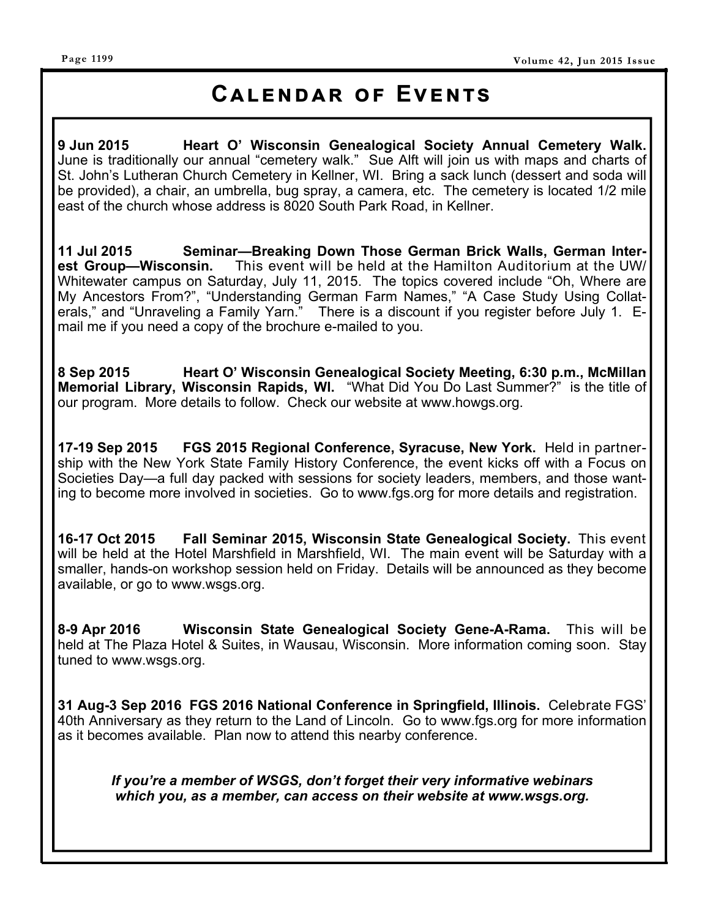#### **Page 1199**

# **CALENDAR OF EVENTS**

**9 Jun 2015 Heart O' Wisconsin Genealogical Society Annual Cemetery Walk.**  June is traditionally our annual "cemetery walk." Sue Alft will join us with maps and charts of St. John's Lutheran Church Cemetery in Kellner, WI. Bring a sack lunch (dessert and soda will be provided), a chair, an umbrella, bug spray, a camera, etc. The cemetery is located 1/2 mile east of the church whose address is 8020 South Park Road, in Kellner.

**11 Jul 2015 Seminar—Breaking Down Those German Brick Walls, German Interest Group—Wisconsin.** This event will be held at the Hamilton Auditorium at the UW/ Whitewater campus on Saturday, July 11, 2015. The topics covered include "Oh, Where are My Ancestors From?", "Understanding German Farm Names," "A Case Study Using Collaterals," and "Unraveling a Family Yarn." There is a discount if you register before July 1. Email me if you need a copy of the brochure e-mailed to you.

**8 Sep 2015 Heart O' Wisconsin Genealogical Society Meeting, 6:30 p.m., McMillan Memorial Library, Wisconsin Rapids, WI.** "What Did You Do Last Summer?" is the title of our program. More details to follow. Check our website at www.howgs.org.

**17-19 Sep 2015 FGS 2015 Regional Conference, Syracuse, New York.** Held in partnership with the New York State Family History Conference, the event kicks off with a Focus on Societies Day—a full day packed with sessions for society leaders, members, and those wanting to become more involved in societies. Go to www.fgs.org for more details and registration.

**16-17 Oct 2015 Fall Seminar 2015, Wisconsin State Genealogical Society.** This event will be held at the Hotel Marshfield in Marshfield, WI. The main event will be Saturday with a smaller, hands-on workshop session held on Friday. Details will be announced as they become available, or go to www.wsgs.org.

**8-9 Apr 2016 Wisconsin State Genealogical Society Gene-A-Rama.** This will be held at The Plaza Hotel & Suites, in Wausau, Wisconsin. More information coming soon. Stay tuned to www.wsgs.org.

**31 Aug-3 Sep 2016 FGS 2016 National Conference in Springfield, Illinois.** Celebrate FGS' 40th Anniversary as they return to the Land of Lincoln. Go to www.fgs.org for more information as it becomes available. Plan now to attend this nearby conference.

*If you're a member of WSGS, don't forget their very informative webinars which you, as a member, can access on their website at www.wsgs.org.*